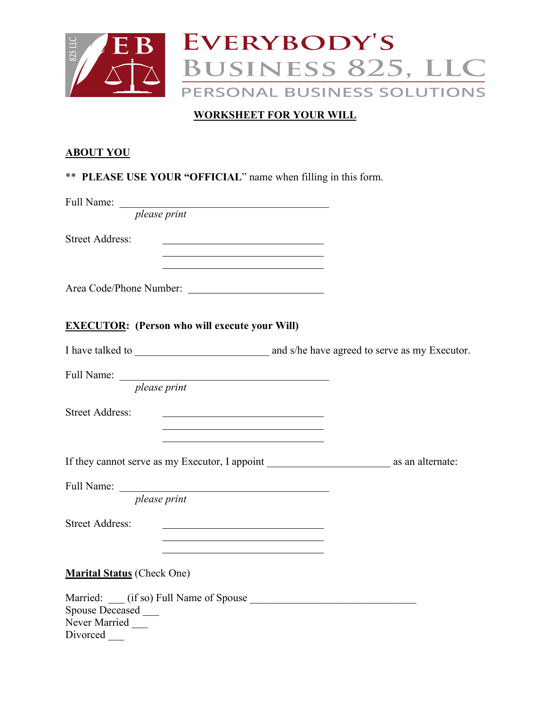

## **WORKSHEET FOR YOUR WILL**

#### **ABOUT YOU**

|  |  | ** PLEASE USE YOUR "OFFICIAL" name when filling in this form. |  |  |
|--|--|---------------------------------------------------------------|--|--|
|  |  |                                                               |  |  |

Full Name: \_\_\_\_\_\_\_\_\_\_\_\_\_\_\_\_\_\_\_\_\_\_\_\_\_\_\_\_\_\_\_\_\_\_\_\_\_\_\_

*please print*

Street Address:

Area Code/Phone Number:

#### **EXECUTOR: (Person who will execute your Will)**

I have talked to \_\_\_\_\_\_\_\_\_\_\_\_\_\_\_\_\_\_\_\_\_\_\_\_\_ and s/he have agreed to serve as my Executor.

Full Name: \_\_\_\_\_\_\_\_\_\_\_\_\_\_\_\_\_\_\_\_\_\_\_\_\_\_\_\_\_\_\_\_\_\_\_\_\_\_\_

*please print*

Street Address:

If they cannot serve as my Executor, I appoint as an alternate:

Full Name: \_\_\_\_\_\_\_\_\_\_\_\_\_\_\_\_\_\_\_\_\_\_\_\_\_\_\_\_\_\_\_\_\_\_\_\_\_\_\_

*please print*

Street Address:

**Marital Status** (Check One)

Married: \_\_\_ (if so) Full Name of Spouse \_\_\_\_\_\_\_\_\_\_\_\_\_\_\_\_\_\_\_\_\_\_\_\_\_\_\_\_\_\_\_ Spouse Deceased \_\_\_ Never Married Divorced \_\_\_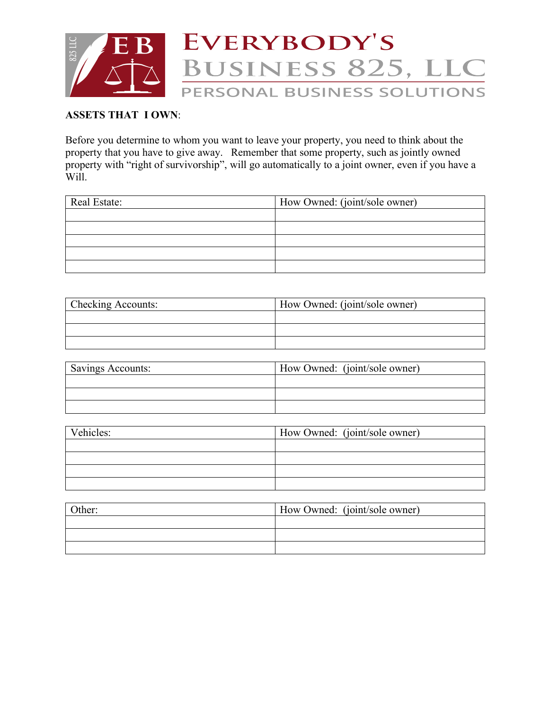

#### **ASSETS THAT I OWN**:

Before you determine to whom you want to leave your property, you need to think about the property that you have to give away. Remember that some property, such as jointly owned property with "right of survivorship", will go automatically to a joint owner, even if you have a Will.

| Real Estate: | How Owned: (joint/sole owner) |
|--------------|-------------------------------|
|              |                               |
|              |                               |
|              |                               |
|              |                               |
|              |                               |

| <b>Checking Accounts:</b> | How Owned: (joint/sole owner) |  |
|---------------------------|-------------------------------|--|
|                           |                               |  |
|                           |                               |  |
|                           |                               |  |

| <b>Savings Accounts:</b> | How Owned: (joint/sole owner) |
|--------------------------|-------------------------------|
|                          |                               |
|                          |                               |
|                          |                               |

| Vehicles: | How Owned: (joint/sole owner) |
|-----------|-------------------------------|
|           |                               |
|           |                               |
|           |                               |
|           |                               |

| $\Delta$ other: | How Owned: (joint/sole owner) |
|-----------------|-------------------------------|
|                 |                               |
|                 |                               |
|                 |                               |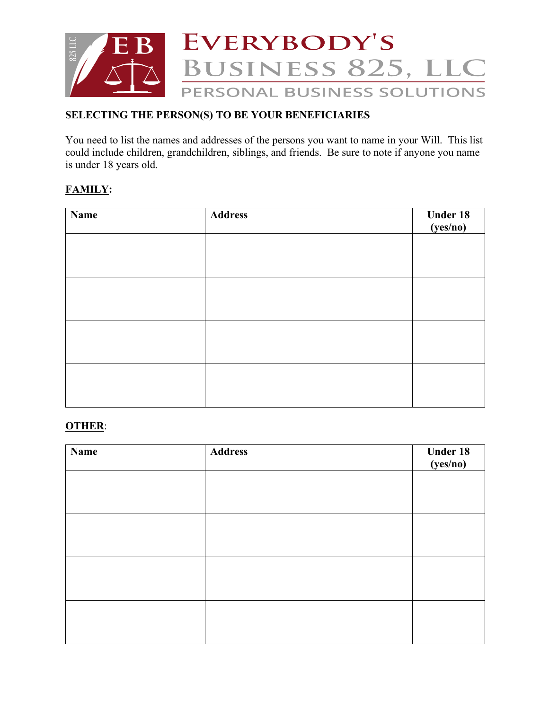

# **SELECTING THE PERSON(S) TO BE YOUR BENEFICIARIES**

You need to list the names and addresses of the persons you want to name in your Will. This list could include children, grandchildren, siblings, and friends. Be sure to note if anyone you name is under 18 years old.

## **FAMILY:**

| <b>Name</b> | <b>Address</b> | Under 18<br>(yes/no) |
|-------------|----------------|----------------------|
|             |                |                      |
|             |                |                      |
|             |                |                      |
|             |                |                      |
|             |                |                      |
|             |                |                      |
|             |                |                      |
|             |                |                      |

#### **OTHER**:

| <b>Name</b> | <b>Address</b> | Under 18<br>(yes/no) |
|-------------|----------------|----------------------|
|             |                |                      |
|             |                |                      |
|             |                |                      |
|             |                |                      |
|             |                |                      |
|             |                |                      |
|             |                |                      |
|             |                |                      |